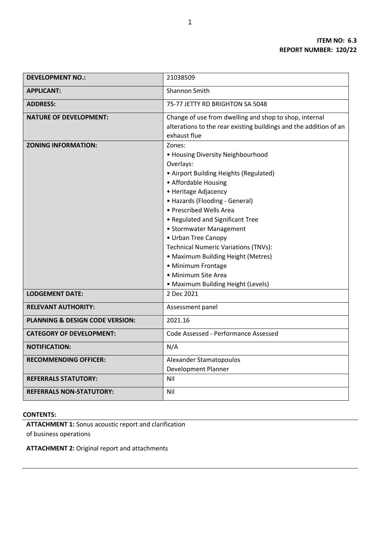| <b>DEVELOPMENT NO.:</b>                    | 21038509                                                                                                                                                                                                                                                                                                                                                                                                                                                                      |
|--------------------------------------------|-------------------------------------------------------------------------------------------------------------------------------------------------------------------------------------------------------------------------------------------------------------------------------------------------------------------------------------------------------------------------------------------------------------------------------------------------------------------------------|
| <b>APPLICANT:</b>                          | <b>Shannon Smith</b>                                                                                                                                                                                                                                                                                                                                                                                                                                                          |
| <b>ADDRESS:</b>                            | 75-77 JETTY RD BRIGHTON SA 5048                                                                                                                                                                                                                                                                                                                                                                                                                                               |
| <b>NATURE OF DEVELOPMENT:</b>              | Change of use from dwelling and shop to shop, internal<br>alterations to the rear existing buildings and the addition of an<br>exhaust flue                                                                                                                                                                                                                                                                                                                                   |
| <b>ZONING INFORMATION:</b>                 | Zones:<br>• Housing Diversity Neighbourhood<br>Overlays:<br>• Airport Building Heights (Regulated)<br>• Affordable Housing<br>• Heritage Adjacency<br>• Hazards (Flooding - General)<br>• Prescribed Wells Area<br>• Regulated and Significant Tree<br>• Stormwater Management<br>• Urban Tree Canopy<br><b>Technical Numeric Variations (TNVs):</b><br>• Maximum Building Height (Metres)<br>• Minimum Frontage<br>· Minimum Site Area<br>• Maximum Building Height (Levels) |
| <b>LODGEMENT DATE:</b>                     | 2 Dec 2021                                                                                                                                                                                                                                                                                                                                                                                                                                                                    |
| <b>RELEVANT AUTHORITY:</b>                 | Assessment panel                                                                                                                                                                                                                                                                                                                                                                                                                                                              |
| <b>PLANNING &amp; DESIGN CODE VERSION:</b> | 2021.16                                                                                                                                                                                                                                                                                                                                                                                                                                                                       |
| <b>CATEGORY OF DEVELOPMENT:</b>            | Code Assessed - Performance Assessed                                                                                                                                                                                                                                                                                                                                                                                                                                          |
| <b>NOTIFICATION:</b>                       | N/A                                                                                                                                                                                                                                                                                                                                                                                                                                                                           |
| <b>RECOMMENDING OFFICER:</b>               | Alexander Stamatopoulos<br><b>Development Planner</b>                                                                                                                                                                                                                                                                                                                                                                                                                         |
| <b>REFERRALS STATUTORY:</b>                | Nil                                                                                                                                                                                                                                                                                                                                                                                                                                                                           |
| <b>REFERRALS NON-STATUTORY:</b>            | Nil                                                                                                                                                                                                                                                                                                                                                                                                                                                                           |

# **CONTENTS:**

**ATTACHMENT 1:** Sonus acoustic report and clarification of business operations

**ATTACHMENT 2:** Original report and attachments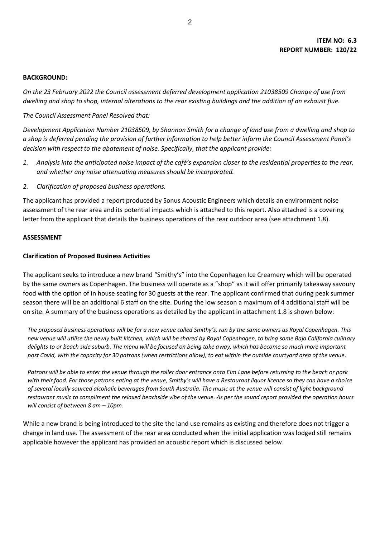#### **BACKGROUND:**

*On the 23 February 2022 the Council assessment deferred development application 21038509 Change of use from dwelling and shop to shop, internal alterations to the rear existing buildings and the addition of an exhaust flue.*

## *The Council Assessment Panel Resolved that:*

*Development Application Number 21038509, by Shannon Smith for a change of land use from a dwelling and shop to a shop is deferred pending the provision of further information to help better inform the Council Assessment Panel's decision with respect to the abatement of noise. Specifically, that the applicant provide:* 

- *1. Analysis into the anticipated noise impact of the café's expansion closer to the residential properties to the rear, and whether any noise attenuating measures should be incorporated.*
- *2. Clarification of proposed business operations.*

The applicant has provided a report produced by Sonus Acoustic Engineers which details an environment noise assessment of the rear area and its potential impacts which is attached to this report. Also attached is a covering letter from the applicant that details the business operations of the rear outdoor area (see attachment 1.8).

#### **ASSESSMENT**

#### **Clarification of Proposed Business Activities**

The applicant seeks to introduce a new brand "Smithy's" into the Copenhagen Ice Creamery which will be operated by the same owners as Copenhagen. The business will operate as a "shop" as it will offer primarily takeaway savoury food with the option of in house seating for 30 guests at the rear. The applicant confirmed that during peak summer season there will be an additional 6 staff on the site. During the low season a maximum of 4 additional staff will be on site. A summary of the business operations as detailed by the applicant in attachment 1.8 is shown below:

*The proposed business operations will be for a new venue called Smithy's, run by the same owners as Royal Copenhagen. This new venue will utilise the newly built kitchen, which will be shared by Royal Copenhagen, to bring some Baja California culinary delights to or beach side suburb. The menu will be focused on being take away, which has become so much more important post Covid, with the capacity for 30 patrons (when restrictions allow), to eat within the outside courtyard area of the venue.* 

*Patrons will be able to enter the venue through the roller door entrance onto Elm Lane before returning to the beach or park with their food. For those patrons eating at the venue, Smithy's will have a Restaurant liquor licence so they can have a choice of several locally sourced alcoholic beverages from South Australia. The music at the venue will consist of light background restaurant music to compliment the relaxed beachside vibe of the venue. As per the sound report provided the operation hours will consist of between 8 am - 10pm.* 

While a new brand is being introduced to the site the land use remains as existing and therefore does not trigger a change in land use. The assessment of the rear area conducted when the initial application was lodged still remains applicable however the applicant has provided an acoustic report which is discussed below.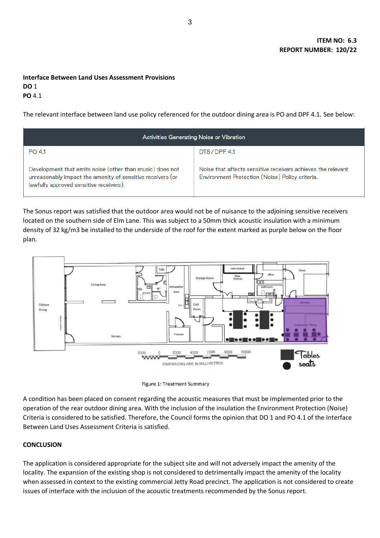# **Interface Between Land Uses Assessment Provisions**

**DO** 1 **PO** 4.1

The relevant interface between land use policy referenced for the outdoor dining area is PO and DPF 4.1. See below:

| <b>Activities Generating Noise or Vibration</b>                                                                                                                   |                                                                                                                 |  |
|-------------------------------------------------------------------------------------------------------------------------------------------------------------------|-----------------------------------------------------------------------------------------------------------------|--|
| PO 4.1                                                                                                                                                            | DTS/DPF 4.1                                                                                                     |  |
| Development that emits noise (other than music) does not<br>unreasonably impact the amenity of sensitive receivers (or<br>lawfully approved sensitive receivers). | Noise that affects sensitive receivers achieves the relevant<br>Environment Protection (Noise) Policy criteria. |  |

The Sonus report was satisfied that the outdoor area would not be of nuisance to the adjoining sensitive receivers located on the southern side of Elm Lane. This was subject to a 50mm thick acoustic insulation with a minimum density of 32 kg/m3 be installed to the underside of the roof for the extent marked as purple below on the floor plan.





A condition has been placed on consent regarding the acoustic measures that must be implemented prior to the operation of the rear outdoor dining area. With the inclusion of the insulation the Environment Protection (Noise) Criteria is considered to be satisfied. Therefore, the Council forms the opinion that DO 1 and PO 4.1 of the Interface Between Land Uses Assessment Criteria is satisfied.

# **CONCLUSION**

The application is considered appropriate for the subject site and will not adversely impact the amenity of the locality. The expansion of the existing shop is not considered to detrimentally impact the amenity of the locality when assessed in context to the existing commercial Jetty Road precinct. The application is not considered to create issues of interface with the inclusion of the acoustic treatments recommended by the Sonus report.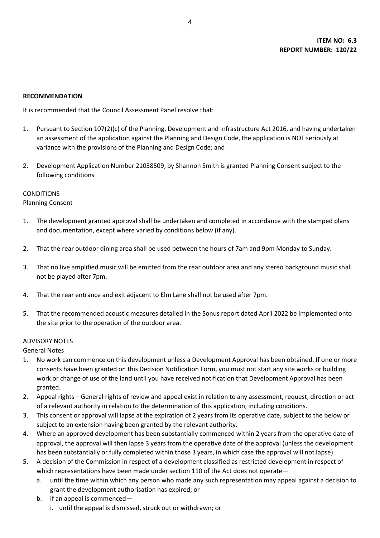## **RECOMMENDATION**

It is recommended that the Council Assessment Panel resolve that:

- 1. Pursuant to Section 107(2)(c) of the Planning, Development and Infrastructure Act 2016, and having undertaken an assessment of the application against the Planning and Design Code, the application is NOT seriously at variance with the provisions of the Planning and Design Code; and
- 2. Development Application Number 21038509, by Shannon Smith is granted Planning Consent subject to the following conditions

### CONDITIONS

### Planning Consent

- 1. The development granted approval shall be undertaken and completed in accordance with the stamped plans and documentation, except where varied by conditions below (if any).
- 2. That the rear outdoor dining area shall be used between the hours of 7am and 9pm Monday to Sunday.
- 3. That no live amplified music will be emitted from the rear outdoor area and any stereo background music shall not be played after 7pm.
- 4. That the rear entrance and exit adjacent to Elm Lane shall not be used after 7pm.
- 5. That the recommended acoustic measures detailed in the Sonus report dated April 2022 be implemented onto the site prior to the operation of the outdoor area.

#### ADVISORY NOTES

## General Notes

- 1. No work can commence on this development unless a Development Approval has been obtained. If one or more consents have been granted on this Decision Notification Form, you must not start any site works or building work or change of use of the land until you have received notification that Development Approval has been granted.
- 2. Appeal rights General rights of review and appeal exist in relation to any assessment, request, direction or act of a relevant authority in relation to the determination of this application, including conditions.
- 3. This consent or approval will lapse at the expiration of 2 years from its operative date, subject to the below or subject to an extension having been granted by the relevant authority.
- 4. Where an approved development has been substantially commenced within 2 years from the operative date of approval, the approval will then lapse 3 years from the operative date of the approval (unless the development has been substantially or fully completed within those 3 years, in which case the approval will not lapse).
- 5. A decision of the Commission in respect of a development classified as restricted development in respect of which representations have been made under section 110 of the Act does not operate
	- a. until the time within which any person who made any such representation may appeal against a decision to grant the development authorisation has expired; or
	- b. if an appeal is commenced
		- i. until the appeal is dismissed, struck out or withdrawn; or